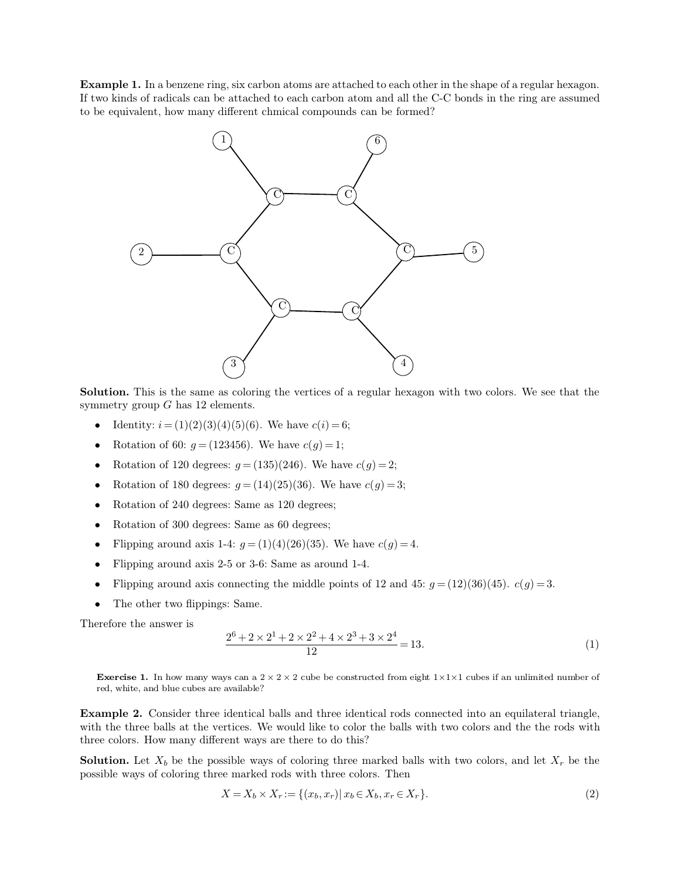**Example 1.** In a benzene ring, six carbon atoms are attached to each other in the shape of a regular hexagon. Example 1. In a benzene ring, six carbon atoms are attached to each other in the shape of a regular hexagon.<br>If two kinds of radicals can be attached to each carbon atom and all the C-C bonds in the ring are assumed to be **Example 1.** In a benzene ring, six carbon atoms are attached to each other in the set of two kinds of radicals can be attached to each carbon atom and all the C-C bon to be equivalent, how many different chmical compounds



**Solution.** This is the same as coloring the vertices of a regular hexagon with two colors. We see that the symmetry group  $G$  has 12 elements.

- 
- 
- 
- 
- 
- 
- 
- 
- 
- Flipping around axis 2-5<br>• Flipping around axis com<br>• The other two flippings:<br>Therefore the answer is<br> $\frac{2}{\sqrt{3}}$

nonnecting the middle points of 12 and 45: 
$$
g = (12)(36)(45)
$$
.  $c(g) = 3$ .

\nSince:

\n $2^6 + 2 \times 2^1 + 2 \times 2^2 + 4 \times 2^3 + 3 \times 2^4 = 13$ .

\nFor example, we can solve the constructed from the right  $1 \times 1 \times 1$  cubes if an unlimited number of available?

\n $2^6 + 2 \times 2 \times 2 = 12$ .

**Exercise 1.** In how many ways can a  $2 \times 2 \times 2$  red, white, and blue cubes are available?  $2 \times 2$  cube b 1*-*Exercise 1. In how many ways can a  $2 \times 2 \times 2$ <br>red, white, and blue cubes are available?

**Exercise 1.** In how many ways can a  $2 \times 2 \times 2$  cube be constructed from eight  $1 \times 1 \times 1$  cubes if an unlimited number of red, white, and blue cubes are available?<br>**Example 2.** Consider three identical balls and three i **Exercise 1.** In how many ways can a  $2 \times 2 \times 2$  cube be constructed from eight  $1 \times 1 \times 1$  cubes if an unlimited number of red, white, and blue cubes are available?<br>**Example 2.** Consider three identical balls and three i **Exercise 1.** In how many ways can a  $2 \times 2 \times 2$  cube be constructed from red, white, and blue cubes are available?<br>**Example 2.** Consider three identical balls and three identical rod with the three balls at the vertices. **Example 2.** Consider three identical balls and three identical rods connected into an equilateral triangle, with the three balls at the vertices. We would like to color the balls with two colors and the the rods with thr **Example 2.** Consider three identical balls and three identical rods connecte with the three balls at the vertices. We would like to color the balls with two three colors. How many different ways are there to do this?<br>**So** 

are there to do this?<br> *x* of coloring three marked balls with two colors, and let  $X_r$  be the rods with three colors. Then<br>  $X_r := \{(x_b, x_r) | x_b \in X_b, x_r \in X_r\}.$  (2)

$$
X = X_b \times X_r := \{(x_b, x_r) | x_b \in X_b, x_r \in X_r\}.
$$
\n(2)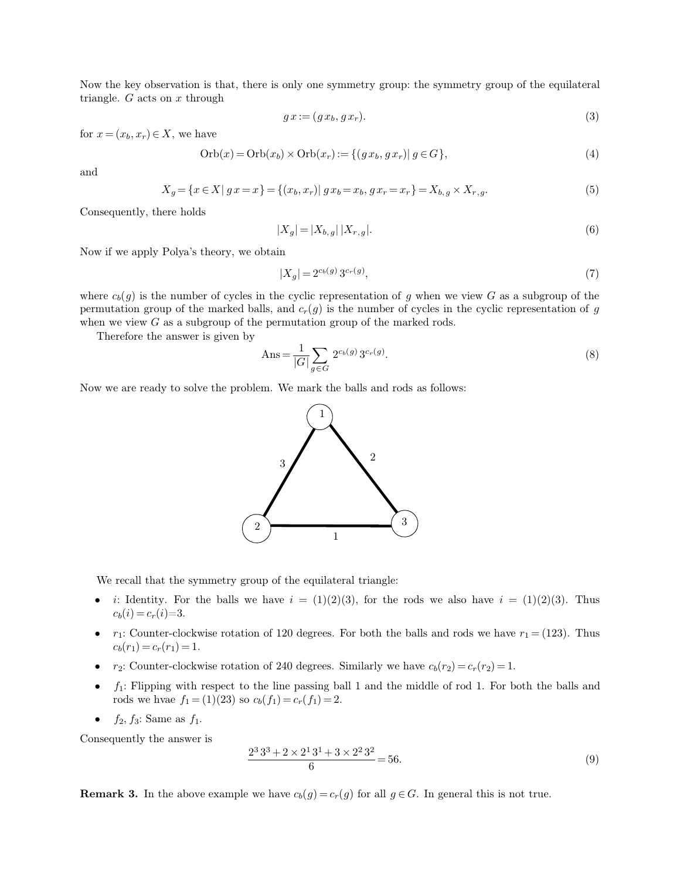Now the key observation is that, there is only one symmetry group: the symmetry group of the equilateral triangle.  $G$  acts on  $\boldsymbol{x}$  through Now the key observation is that, there triangle.  $G$  acts on  $x$  through only one symmetry group: the symmetry group of the equilateral  $gx := (gx_b, gx_r)$ . (3) Now the key observation is that, therefore  $G$  acts on  $x$  through<br>for  $x = (x_b, x_r) \in X$ , we have<br> $Orb(x) = C$  $\begin{aligned}\n\mathbf{C} &= (g \, x_b, g \, x_r).\n\end{aligned}$ (3)<br>  $\text{Orb}(x_r) &:= \{(g \, x_b, g \, x_r) | g \in G\},$ (4)

$$
g\,x := (g\,x_b, g\,x_r). \tag{3}
$$

$$
\text{Orb}(x) = \text{Orb}(x_b) \times \text{Orb}(x_r) := \{ (gx_b, gx_r) | g \in G \},\tag{4}
$$

and

for 
$$
x = (x_b, x_r) \in X
$$
, we have  
\n
$$
\text{Orb}(x) = \text{Orb}(x_b) \times \text{Orb}(x_r) := \{(g x_b, g x_r) | g \in G\},
$$
\n(4)  
\nand  
\n
$$
X_g = \{x \in X | g x = x\} = \{(x_b, x_r) | g x_b = x_b, g x_r = x_r\} = X_{b,g} \times X_{r,g}.
$$
\n(5)  
\nConsequently, there holds  
\n
$$
|X_g| = |X_{b,g}| |X_{r,g}|.
$$
\n(6)  
\nNow if we apply Polya's theory, we obtain  
\n
$$
|X_s| = 2^{c_b(g)} 3^{c_r(g)}
$$
\n(7)

$$
\{(x_b, x_r) | g x_b = x_b, g x_r = x_r\} = X_{b,g} \times X_{r,g}.
$$
\n
$$
|X_g| = |X_{b,g}| |X_{r,g}|.
$$
\n
$$
|X_g| = 2^{c_b(g)} 3^{c_r(g)},
$$
\n
$$
|X_g| = 2^{c_b(g)} 3^{c_r(g)},
$$
\n
$$
|Y_g| = 2^{c_b(g)} 3^{c_f(g)},
$$
\n
$$
|Y_g| = 2^{c_b(g)} 3^{c_b(g)}.
$$
\n(7)

\n(7)

$$
|X_g| = 2^{c_b(g)} 3^{c_r(g)},\tag{7}
$$

Now if we apply Polya's theory, we obtain<br>  $|X_g| = |X_{b,g}| |X_{r,g}|.$  (6)<br>
Where  $c_b(g)$  is the number of cycles in the cyclic representation of *g* when we view *G* as a subgroup of the<br>
permutation group of the marked balls, a Now if we apply Polya's theory, we obtain<br>  $|X_g| = 2^{c_b(g)} 3^{c_r(g)}$ , (7)<br>
where  $c_b(g)$  is the number of cycles in the cyclic representation of *g* when we view *G* as a subgroup of the<br>
permutation group of the marked balls,  $|X_g| = 2^{c_b(g)} 3^{c_r(g)}$ ,<br>where  $c_b(g)$  is the number of cycles in the cyclic representation of g when we view<br>permutation group of the marked balls, and  $c_r(g)$  is the number of cycles in the when we view G as a subgroup of t  $|X_g|$ <br>ere  $c_b(g)$  is the number of cycles in the cy<br>mutation group of the marked balls, and<br>en we view G as a subgroup of the permu<br>Therefore the answer is given by<br>Ans =  $\frac{1}{100}$ 

when we view *G* as a subgroup of the permutation group of the marked rods.  
\nTherefore the answer is given by\n
$$
Ans = \frac{1}{|G|} \sum_{g \in G} 2^{c_b(g)} 3^{c_r(g)}.
$$
\n(8)  
\nNow we are ready to solve the problem. We mark the balls and rods as follows:



- We recall that the symmetry group of the equilateral triangle:<br>
 *i*: Identity. For the balls we have *i* = (1)(2)(3), for the rods we also have *i* = (1)(2)(3). Thus  $c_b(i) = c_r(i) = 3$ .  $c_b(i) = c_r(i) = 3.$ **i** is identity. For the balls we have  $i = (1)(2)(3)$ , for the rods we also have  $i = (1)(2)(3)$ . Thus  $c_b(i) = c_r(i)=3$ .<br>
•  $r_1$ : Counter-clockwise rotation of 120 degrees. For both the balls and rods we have  $r_1 = (123)$ . Thus  $c_b(r$
- *i*: Identity. For the balls we have  $i = (1)(2)(3)$ , for the rods we also have  $i = (1)(2)(3)$ . Thus  $c_b(i) = c_r(i)=3$ .<br>•  $r_1$ : Counter-clockwise rotation of 120 degrees. For both the balls and rods we have  $r_1 = (123)$ . Thus  $c_b(r_$
- 
- $r_1$ : Counter-clockwise rotation of 120 degrees. For both t  $c_b(r_1) = c_r(r_1) = 1$ .<br>
  $r_2$ : Counter-clockwise rotation of 240 degrees. Similarly v<br>
  $f_1$ : Flipping with respect to the line passing ball 1 and t rods we  $f_1$ : Flipping with respect to the line passing ball 1 and the middle of rod 1. For both the balls and rods we hvae  $f_1 = (1)(23)$  so  $c_b(f_1) = c_r(f_1) = 2$ .
	-

\n- 1. Fapping with respect to the line passing bar 1 and the middle of 10d 1. For both the basis and rods we have 
$$
f_1 = (1)(23)
$$
 so  $c_b(f_1) = c_r(f_1) = 2$ .
\n- 2.  $f_2, f_3$ : Same as  $f_1$ .
\n- Consequently the answer is  $\frac{2^3 3^3 + 2 \times 2^1 3^1 + 3 \times 2^2 3^2}{6} = 56$ . (9)
\n- Remark 3. In the above example we have  $c_b(g) = c_r(g)$  for all  $g \in G$ . In general this is not true.
\n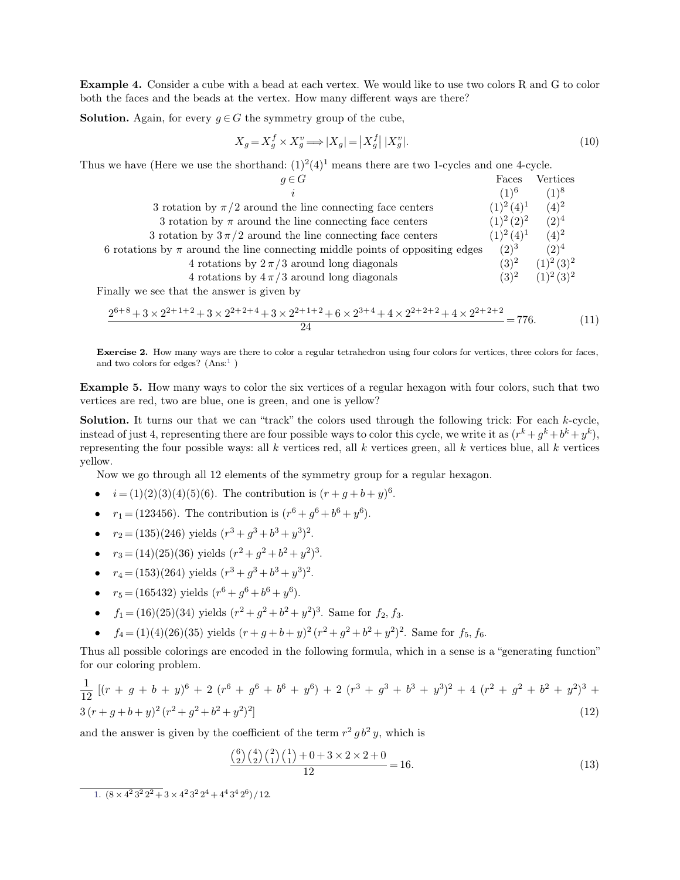**Example 4.** Consider a cube with a bead at each vertex. We would like to use two colors R and G to color both the faces and the beads at the vertex. How many different ways are there? **Example 4.** Consider a cube with a bead at each vertex. We would like to use two colos<br>both the faces and the beads at the vertex. How many different ways are there?<br>**Solution.** Again, for every  $q \in G$  the symmetry group both the faces and the beads at the vertex. How many different ways are there?<br>**Solution.** Again, for every  $q \in G$  the symmetry group of the cube,

$$
X_g = X_g^f \times X_g^v \Longrightarrow |X_g| = |X_g^f| |X_g^v|.
$$
\n<sup>(10)</sup>

| both the faces and the beads at the vertex. How many different ways are there?                                |                       |                      |      |
|---------------------------------------------------------------------------------------------------------------|-----------------------|----------------------|------|
| <b>Solution.</b> Again, for every $g \in G$ the symmetry group of the cube,                                   |                       |                      |      |
| $X_q = X_q^f \times X_q^v \Longrightarrow  X_q  =  X_q^f   X_q^v .$                                           |                       |                      | (10) |
| Thus we have (Here we use the shorthand: $(1)^2(4)^1$ means there are two 1-cycles and one 4-cycle.           |                       |                      |      |
| $q \in G$                                                                                                     | Faces                 | Vertices             |      |
|                                                                                                               | $(1)^6$               | $(1)^8$              |      |
| 3 rotation by $\pi/2$ around the line connecting face centers                                                 | $(1)^2 (4)^1$ $(4)^2$ |                      |      |
| 3 rotation by $\pi$ around the line connecting face centers                                                   | $(1)^2 (2)^2$ $(2)^4$ |                      |      |
| 3 rotation by $3\pi/2$ around the line connecting face centers                                                | $(1)^2 (4)^1$ $(4)^2$ |                      |      |
| 6 rotations by $\pi$ around the line connecting middle points of oppositing edges                             | $(2)^3$ $(2)^4$       |                      |      |
| 4 rotations by $2\pi/3$ around long diagonals                                                                 |                       | $(3)^2$ $(1)^2(3)^2$ |      |
| 4 rotations by $4\pi/3$ around long diagonals                                                                 |                       | $(3)^2$ $(1)^2(3)^2$ |      |
| Finally we see that the answer is given by                                                                    |                       |                      |      |
| $2^{6+8}+3\times2^{2+1+2}+3\times2^{2+2+4}+3\times2^{2+1+2}+6\times2^{3+4}+4\times2^{2+2+2}+4\times2^{2+2+2}$ |                       |                      |      |
| 24                                                                                                            | $= 776.$              |                      | (11) |
|                                                                                                               |                       |                      |      |

$$
\frac{2^{6+8}+3\times2^{2+1+2}+3\times2^{2+2+4}+3\times2^{2+1+2}+6\times2^{3+4}+4\times2^{2+2+2}+4\times2^{2+2+2}}{24} = 776.
$$
 (11)  
Exercise 2. How many ways are there to color a regular tetrahedron using four colors for vertices, three colors for faces,  
and two colors for edges? (Ans:<sup>1</sup>)

<span id="page-2-0"></span> $\frac{2^{0+\circ}+3\times 2^{2+\circ+2}+3\times 2^{2+\circ+4}+7}{2^{2+\circ}}$ <br>**Exercise 2.** How many ways are there to and two colors for edges? (Ans:<sup>1</sup>)

**Exercise 2.** How many ways are there to color a regular tetrahedron using four colors for vertices, three colors for faces, and two colors for edges? (Ans.<sup>1</sup>)<br> **Example 5.** How many ways to color the six vertices of a re **Exercise 2.** How many ways are there to color a regular tetrahedron using for and two colors for edges? (Ans:<sup>1</sup>)<br> **Example 5.** How many ways to color the six vertices of a regular he vertices are red, two are blue, one

**Example 5.** How many ways are there to coor a regular terrahedron using four colors for vertices, three colors for faces, and two colors for edges? (Ans.<sup>1</sup>)<br> **Example 5.** How many ways to color the six vertices of a reg **Example 5.** How many ways to color the six vertices of a regular hexagon with four colors, such vertices are red, two are blue, one is green, and one is yellow?<br>**Solution.** It turns our that we can "track" the colors use  $k^k + g^k + b^k + y^k$ , **Example 5.** How many ways to color the six vertices of a regular hexagon with four colors, such that two vertices are red, two are blue, one is green, and one is yellow?<br> **Solution.** It turns our that we can "track" the yellow. **lution.** It turns our that we can "track" the colors used through the following trick: tead of just 4, representing there are four possible ways: all *k* vertices red, all *k* vertices green, all *k* vertices  $\ell$  low. N *resenting the tour possible ways: all k vertices r*<br> *bow.*<br> *Now we go through all 12 elements of the symm*<br>  $\bullet$   $i = (1)(2)(3)(4)(5)(6)$ . The contribution is  $(r^6 + g^6 + r_1 = (123456)$ . The contribution is  $(r^6 + g^6 + r_2 = (135)(246)$ 

- .
- $^{6}+g^{6}+b^{6}+y^{6}$ .
- $r_2 = (135)(246)$  yields  $(r^3 + g^3 + b^3 + y^3)^2$ .
- $r_3 = (14)(25)(36)$  yields  $(r^2 + g^2 + b^2 + y^2)^3$ . .
- $r_4 = (153)(264)$  yields  $(r^3 + g^3 + b^3 + y^3)^2$ . .
- $r_5 = (165432)$  yields  $(r^6 + g^6 + b^6 + y^6)$ .
- $f_1 = (16)(25)(34)$  yields  $(r^2 + g^2 + b^2 + y^2)^3$ . Same f
- 

•  $r_4 = (153)(264)$  yields  $(r^3 + g^3 + b^3 + y^3)^2$ .<br>
•  $r_5 = (165432)$  yields  $(r^6 + g^6 + b^6 + y^6)$ .<br>
•  $f_1 = (16)(25)(34)$  yields  $(r^2 + g^2 + b^2 + y^2)^3$ . Same for  $f_2$ ,  $f_3$ .<br>
•  $f_4 = (1)(4)(26)(35)$  yields  $(r + g + b + y)^2 (r^2 + g^2 + b^2 + y^2)^2$ . •  $f_1 = (16)(25)(34)$  yields<br>•  $f_4 = (1)(4)(26)(35)$  yields<br>Thus all possible colorings are<br>for our coloring problem. Thus all possible colorings are encoded in the following formula, which in a sense is a "generating function"

\n- \n
$$
r_3 = (14)(25)(36)
$$
 yields  $(r^2 + g^2 + b^2 + y^2)^3$ .\n
\n- \n $r_4 = (153)(264)$  yields  $(r^3 + g^3 + b^3 + y^3)^2$ .\n
\n- \n $r_5 = (165432)$  yields  $(r^6 + g^6 + b^6 + y^6)$ .\n
\n- \n $f_1 = (16)(25)(34)$  yields  $(r^2 + g^2 + b^2 + y^2)^3$ . Same for  $f_2$ ,  $f_3$ .\n
\n- \n $f_4 = (1)(4)(26)(35)$  yields  $(r + g + b + y)^2 (r^2 + g^2 + b^2 + y^2)^2$ . Same for  $f_5$ ,  $f_6$ . Thus all possible colorings are encoded in the following formula, which in a sense is a "generating function" for our coloring problem.\n
\n- \n $\frac{1}{12} \left[ (r + g + b + y)^6 + 2 \left( r^6 + g^6 + b^6 + y^6 \right) + 2 \left( r^3 + g^3 + b^3 + y^3 \right)^2 + 4 \left( r^2 + g^2 + b^2 + y^2 \right)^3 + 3 \left( r + g + b + y \right)^2 \left( r^2 + g^2 + b^2 + y^2 \right)^2 \right]$ \n
\n- \n and the answer is given by the coefficient of the term  $r^2 g b^2 y$ , which is\n  $\frac{\binom{6}{2} \binom{4}{2} \binom{2}{1} \binom{1}{1} + 0 + 3 \times 2 \times 2 + 0}{12} = 16.$ \n
\n
\n(13)

$$
\frac{\binom{6}{2}\binom{4}{2}\binom{2}{1}\binom{1}{1} + 0 + 3 \times 2 \times 2 + 0}{12} = 16.
$$
\n
$$
(13)
$$
\n
$$
4 + 4^4 3^4 2^6 \big) / 12.
$$

[<sup>1.</sup>](#page-2-0)  $(8 \times 4^2 3^2 2^2 + 3 \times 4)$  $\overline{a^2+3} \times 4^2 3^2 2^4$  $4^2 3^2 2^4 + 4^4 3^4$  $(4\,2^6)\,/\,12.$